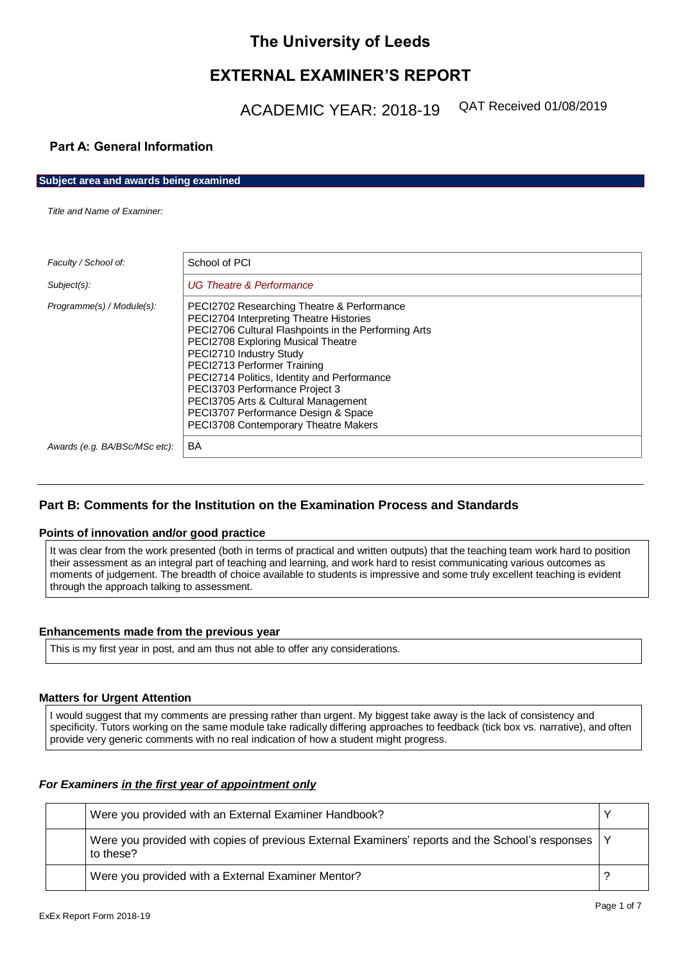# **The University of Leeds**

# **EXTERNAL EXAMINER'S REPORT**

ACADEMIC YEAR: 2018-19 QAT Received 01/08/2019

# **Part A: General Information**

**Subject area and awards being examined**

*Title and Name of Examiner:*

| Faculty / School of:          | School of PCI                                                                                                                                                                                                                                                                                                                                                                                                                                        |
|-------------------------------|------------------------------------------------------------------------------------------------------------------------------------------------------------------------------------------------------------------------------------------------------------------------------------------------------------------------------------------------------------------------------------------------------------------------------------------------------|
| $Subject(s)$ :                | <b>UG Theatre &amp; Performance</b>                                                                                                                                                                                                                                                                                                                                                                                                                  |
| Programme(s) / Module(s):     | PECI2702 Researching Theatre & Performance<br>PECI2704 Interpreting Theatre Histories<br>PECI2706 Cultural Flashpoints in the Performing Arts<br>PECI2708 Exploring Musical Theatre<br>PECI2710 Industry Study<br>PECI2713 Performer Training<br>PECI2714 Politics, Identity and Performance<br>PECI3703 Performance Project 3<br>PECI3705 Arts & Cultural Management<br>PECI3707 Performance Design & Space<br>PECI3708 Contemporary Theatre Makers |
| Awards (e.g. BA/BSc/MSc etc): | <b>BA</b>                                                                                                                                                                                                                                                                                                                                                                                                                                            |

# **Part B: Comments for the Institution on the Examination Process and Standards**

## **Points of innovation and/or good practice**

It was clear from the work presented (both in terms of practical and written outputs) that the teaching team work hard to position their assessment as an integral part of teaching and learning, and work hard to resist communicating various outcomes as moments of judgement. The breadth of choice available to students is impressive and some truly excellent teaching is evident through the approach talking to assessment.

## **Enhancements made from the previous year**

This is my first year in post, and am thus not able to offer any considerations.

## **Matters for Urgent Attention**

I would suggest that my comments are pressing rather than urgent. My biggest take away is the lack of consistency and specificity. Tutors working on the same module take radically differing approaches to feedback (tick box vs. narrative), and often provide very generic comments with no real indication of how a student might progress.

# *For Examiners in the first year of appointment only*

|  | Were you provided with an External Examiner Handbook?                                                             |  |
|--|-------------------------------------------------------------------------------------------------------------------|--|
|  | Were you provided with copies of previous External Examiners' reports and the School's responses   Y<br>to these? |  |
|  | Were you provided with a External Examiner Mentor?                                                                |  |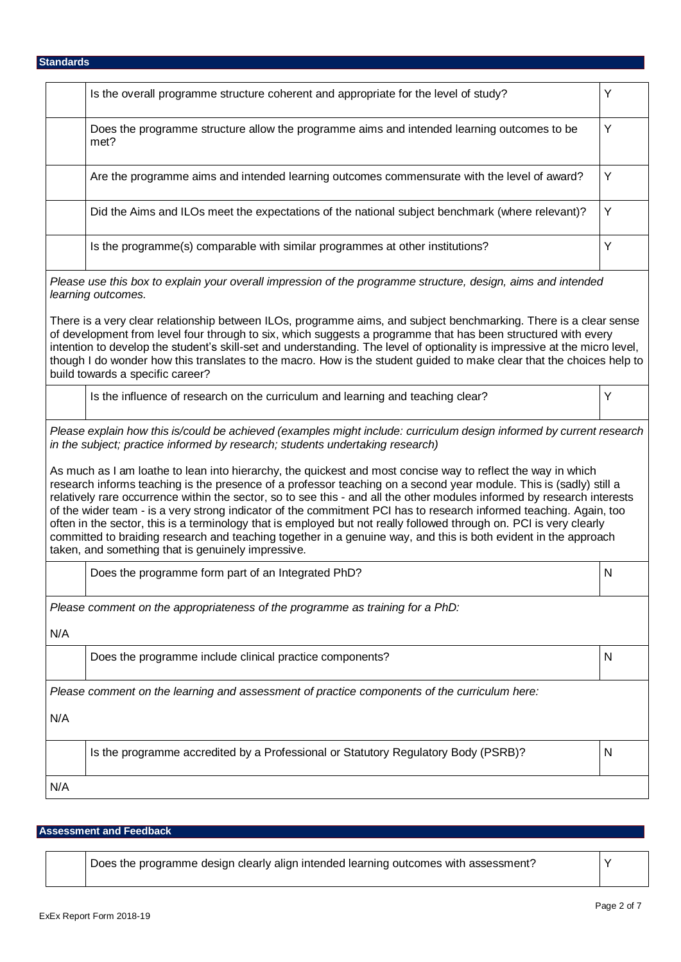|     | Is the overall programme structure coherent and appropriate for the level of study?                                                                                                                                                                                                                                                                                                                                                                                                                                                                                                                                                                                                                                                                                                 | Y            |
|-----|-------------------------------------------------------------------------------------------------------------------------------------------------------------------------------------------------------------------------------------------------------------------------------------------------------------------------------------------------------------------------------------------------------------------------------------------------------------------------------------------------------------------------------------------------------------------------------------------------------------------------------------------------------------------------------------------------------------------------------------------------------------------------------------|--------------|
|     | Does the programme structure allow the programme aims and intended learning outcomes to be<br>met?                                                                                                                                                                                                                                                                                                                                                                                                                                                                                                                                                                                                                                                                                  | Y            |
|     | Are the programme aims and intended learning outcomes commensurate with the level of award?                                                                                                                                                                                                                                                                                                                                                                                                                                                                                                                                                                                                                                                                                         | Y            |
|     | Did the Aims and ILOs meet the expectations of the national subject benchmark (where relevant)?                                                                                                                                                                                                                                                                                                                                                                                                                                                                                                                                                                                                                                                                                     | Y            |
|     | Is the programme(s) comparable with similar programmes at other institutions?                                                                                                                                                                                                                                                                                                                                                                                                                                                                                                                                                                                                                                                                                                       | Y            |
|     | Please use this box to explain your overall impression of the programme structure, design, aims and intended<br>learning outcomes.                                                                                                                                                                                                                                                                                                                                                                                                                                                                                                                                                                                                                                                  |              |
|     | There is a very clear relationship between ILOs, programme aims, and subject benchmarking. There is a clear sense<br>of development from level four through to six, which suggests a programme that has been structured with every<br>intention to develop the student's skill-set and understanding. The level of optionality is impressive at the micro level,<br>though I do wonder how this translates to the macro. How is the student guided to make clear that the choices help to<br>build towards a specific career?                                                                                                                                                                                                                                                       |              |
|     | Is the influence of research on the curriculum and learning and teaching clear?                                                                                                                                                                                                                                                                                                                                                                                                                                                                                                                                                                                                                                                                                                     | Y            |
|     | Please explain how this is/could be achieved (examples might include: curriculum design informed by current research<br>in the subject; practice informed by research; students undertaking research)                                                                                                                                                                                                                                                                                                                                                                                                                                                                                                                                                                               |              |
|     | As much as I am loathe to lean into hierarchy, the quickest and most concise way to reflect the way in which<br>research informs teaching is the presence of a professor teaching on a second year module. This is (sadly) still a<br>relatively rare occurrence within the sector, so to see this - and all the other modules informed by research interests<br>of the wider team - is a very strong indicator of the commitment PCI has to research informed teaching. Again, too<br>often in the sector, this is a terminology that is employed but not really followed through on. PCI is very clearly<br>committed to braiding research and teaching together in a genuine way, and this is both evident in the approach<br>taken, and something that is genuinely impressive. |              |
|     | Does the programme form part of an Integrated PhD?                                                                                                                                                                                                                                                                                                                                                                                                                                                                                                                                                                                                                                                                                                                                  | N            |
|     | Please comment on the appropriateness of the programme as training for a PhD:                                                                                                                                                                                                                                                                                                                                                                                                                                                                                                                                                                                                                                                                                                       |              |
| N/A |                                                                                                                                                                                                                                                                                                                                                                                                                                                                                                                                                                                                                                                                                                                                                                                     |              |
|     | Does the programme include clinical practice components?                                                                                                                                                                                                                                                                                                                                                                                                                                                                                                                                                                                                                                                                                                                            | $\mathsf{N}$ |
|     | Please comment on the learning and assessment of practice components of the curriculum here:                                                                                                                                                                                                                                                                                                                                                                                                                                                                                                                                                                                                                                                                                        |              |
| N/A |                                                                                                                                                                                                                                                                                                                                                                                                                                                                                                                                                                                                                                                                                                                                                                                     |              |
|     | Is the programme accredited by a Professional or Statutory Regulatory Body (PSRB)?                                                                                                                                                                                                                                                                                                                                                                                                                                                                                                                                                                                                                                                                                                  | $\mathsf{N}$ |
| N/A |                                                                                                                                                                                                                                                                                                                                                                                                                                                                                                                                                                                                                                                                                                                                                                                     |              |
|     |                                                                                                                                                                                                                                                                                                                                                                                                                                                                                                                                                                                                                                                                                                                                                                                     |              |

# **Assessment and Feedback**

Does the programme design clearly align intended learning outcomes with assessment?  $\vert$  Y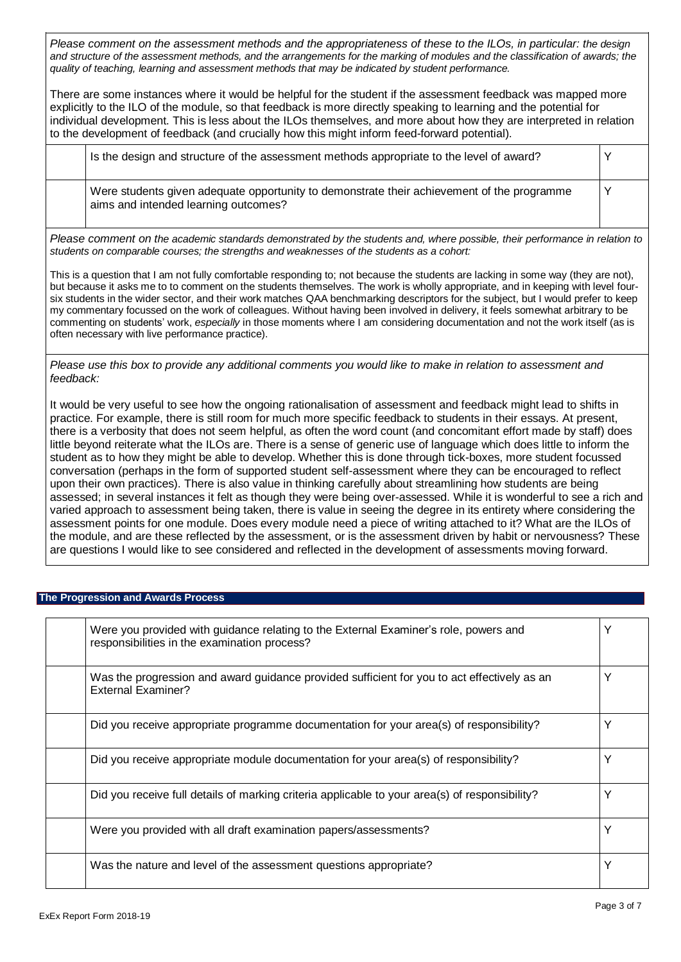Please comment on the assessment methods and the appropriateness of these to the ILOs, in particular: the design and structure of the assessment methods, and the arrangements for the marking of modules and the classification of awards; the *quality of teaching, learning and assessment methods that may be indicated by student performance.*

There are some instances where it would be helpful for the student if the assessment feedback was mapped more explicitly to the ILO of the module, so that feedback is more directly speaking to learning and the potential for individual development. This is less about the ILOs themselves, and more about how they are interpreted in relation to the development of feedback (and crucially how this might inform feed-forward potential).

| Is the design and structure of the assessment methods appropriate to the level of award?                                           |  |
|------------------------------------------------------------------------------------------------------------------------------------|--|
| Were students given adequate opportunity to demonstrate their achievement of the programme<br>aims and intended learning outcomes? |  |

Please comment on the academic standards demonstrated by the students and, where possible, their performance in relation to *students on comparable courses; the strengths and weaknesses of the students as a cohort:*

This is a question that I am not fully comfortable responding to; not because the students are lacking in some way (they are not), but because it asks me to to comment on the students themselves. The work is wholly appropriate, and in keeping with level foursix students in the wider sector, and their work matches QAA benchmarking descriptors for the subject, but I would prefer to keep my commentary focussed on the work of colleagues. Without having been involved in delivery, it feels somewhat arbitrary to be commenting on students' work, *especially* in those moments where I am considering documentation and not the work itself (as is often necessary with live performance practice).

Please use this box to provide any additional comments you would like to make in relation to assessment and *feedback:*

It would be very useful to see how the ongoing rationalisation of assessment and feedback might lead to shifts in practice. For example, there is still room for much more specific feedback to students in their essays. At present, there is a verbosity that does not seem helpful, as often the word count (and concomitant effort made by staff) does little beyond reiterate what the ILOs are. There is a sense of generic use of language which does little to inform the student as to how they might be able to develop. Whether this is done through tick-boxes, more student focussed conversation (perhaps in the form of supported student self-assessment where they can be encouraged to reflect upon their own practices). There is also value in thinking carefully about streamlining how students are being assessed; in several instances it felt as though they were being over-assessed. While it is wonderful to see a rich and varied approach to assessment being taken, there is value in seeing the degree in its entirety where considering the assessment points for one module. Does every module need a piece of writing attached to it? What are the ILOs of the module, and are these reflected by the assessment, or is the assessment driven by habit or nervousness? These are questions I would like to see considered and reflected in the development of assessments moving forward.

## **The Progression and Awards Process**

| Were you provided with guidance relating to the External Examiner's role, powers and<br>responsibilities in the examination process? | Υ |
|--------------------------------------------------------------------------------------------------------------------------------------|---|
| Was the progression and award guidance provided sufficient for you to act effectively as an<br>External Examiner?                    | Υ |
| Did you receive appropriate programme documentation for your area(s) of responsibility?                                              | Y |
| Did you receive appropriate module documentation for your area(s) of responsibility?                                                 | Υ |
| Did you receive full details of marking criteria applicable to your area(s) of responsibility?                                       | Υ |
| Were you provided with all draft examination papers/assessments?                                                                     | Y |
| Was the nature and level of the assessment questions appropriate?                                                                    | Υ |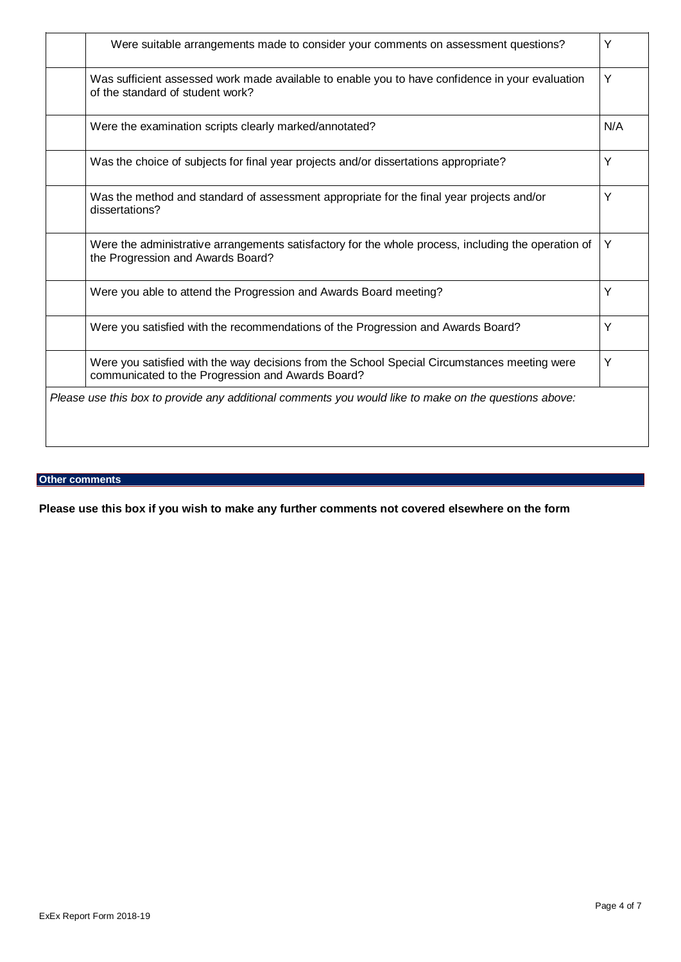| Were suitable arrangements made to consider your comments on assessment questions?                                                                | Y   |
|---------------------------------------------------------------------------------------------------------------------------------------------------|-----|
| Was sufficient assessed work made available to enable you to have confidence in your evaluation<br>of the standard of student work?               | Y   |
| Were the examination scripts clearly marked/annotated?                                                                                            | N/A |
| Was the choice of subjects for final year projects and/or dissertations appropriate?                                                              | Y   |
| Was the method and standard of assessment appropriate for the final year projects and/or<br>dissertations?                                        | Y   |
| Were the administrative arrangements satisfactory for the whole process, including the operation of<br>the Progression and Awards Board?          | Y   |
| Were you able to attend the Progression and Awards Board meeting?                                                                                 | Y   |
| Were you satisfied with the recommendations of the Progression and Awards Board?                                                                  | Y   |
| Were you satisfied with the way decisions from the School Special Circumstances meeting were<br>communicated to the Progression and Awards Board? | Y   |
| Please use this box to provide any additional comments you would like to make on the questions above:                                             |     |

# **Other comments**

**Please use this box if you wish to make any further comments not covered elsewhere on the form**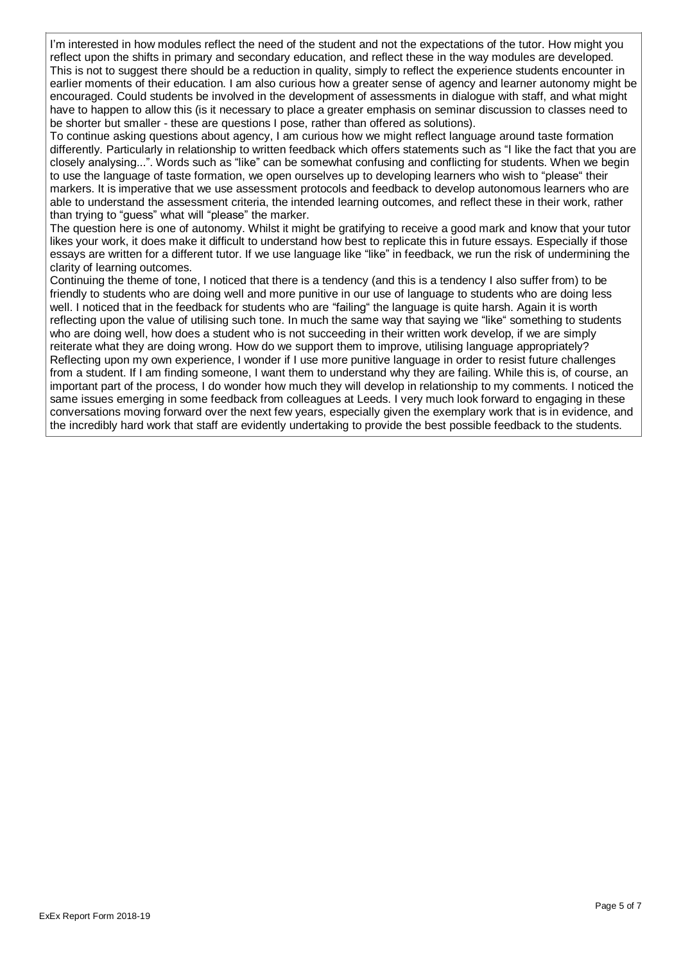I'm interested in how modules reflect the need of the student and not the expectations of the tutor. How might you reflect upon the shifts in primary and secondary education, and reflect these in the way modules are developed. This is not to suggest there should be a reduction in quality, simply to reflect the experience students encounter in earlier moments of their education. I am also curious how a greater sense of agency and learner autonomy might be encouraged. Could students be involved in the development of assessments in dialogue with staff, and what might have to happen to allow this (is it necessary to place a greater emphasis on seminar discussion to classes need to be shorter but smaller - these are questions I pose, rather than offered as solutions).

To continue asking questions about agency, I am curious how we might reflect language around taste formation differently. Particularly in relationship to written feedback which offers statements such as "I like the fact that you are closely analysing...". Words such as "like" can be somewhat confusing and conflicting for students. When we begin to use the language of taste formation, we open ourselves up to developing learners who wish to "please" their markers. It is imperative that we use assessment protocols and feedback to develop autonomous learners who are able to understand the assessment criteria, the intended learning outcomes, and reflect these in their work, rather than trying to "guess" what will "please" the marker.

The question here is one of autonomy. Whilst it might be gratifying to receive a good mark and know that your tutor likes your work, it does make it difficult to understand how best to replicate this in future essays. Especially if those essays are written for a different tutor. If we use language like "like" in feedback, we run the risk of undermining the clarity of learning outcomes.

Continuing the theme of tone, I noticed that there is a tendency (and this is a tendency I also suffer from) to be friendly to students who are doing well and more punitive in our use of language to students who are doing less well. I noticed that in the feedback for students who are "failing" the language is quite harsh. Again it is worth reflecting upon the value of utilising such tone. In much the same way that saying we "like" something to students who are doing well, how does a student who is not succeeding in their written work develop, if we are simply reiterate what they are doing wrong. How do we support them to improve, utilising language appropriately? Reflecting upon my own experience, I wonder if I use more punitive language in order to resist future challenges from a student. If I am finding someone, I want them to understand why they are failing. While this is, of course, an important part of the process, I do wonder how much they will develop in relationship to my comments. I noticed the same issues emerging in some feedback from colleagues at Leeds. I very much look forward to engaging in these conversations moving forward over the next few years, especially given the exemplary work that is in evidence, and the incredibly hard work that staff are evidently undertaking to provide the best possible feedback to the students.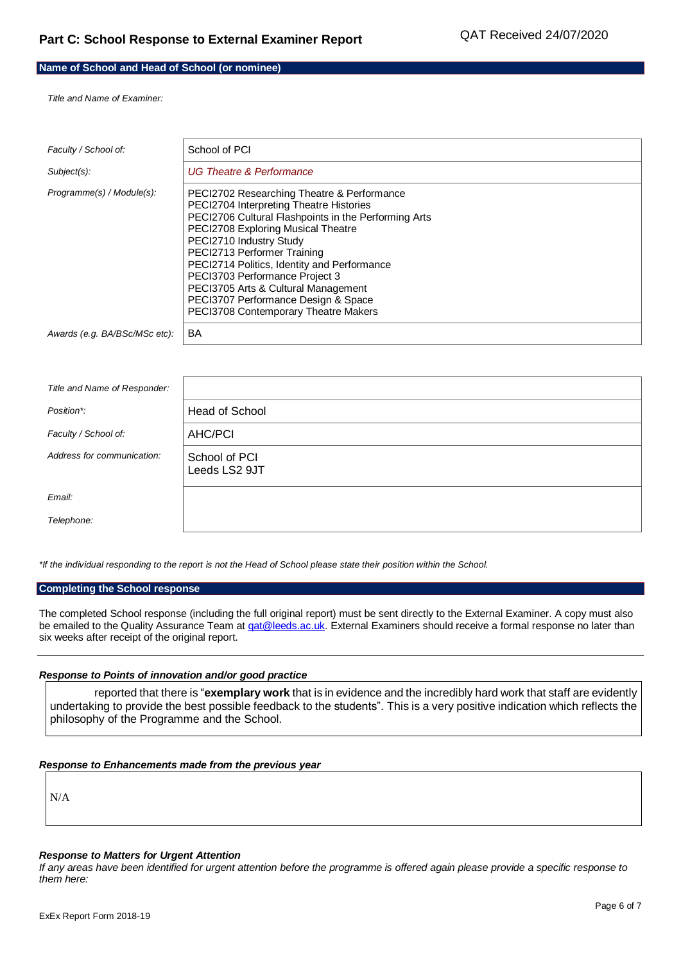## **Name of School and Head of School (or nominee)**

*Title and Name of Examiner:*

| Faculty / School of:          | School of PCI                                                                                                                                                                                                                                                                                                                                                                                                                                        |
|-------------------------------|------------------------------------------------------------------------------------------------------------------------------------------------------------------------------------------------------------------------------------------------------------------------------------------------------------------------------------------------------------------------------------------------------------------------------------------------------|
| Subject(s):                   | <b>UG Theatre &amp; Performance</b>                                                                                                                                                                                                                                                                                                                                                                                                                  |
| Programme(s) / Module(s):     | PECI2702 Researching Theatre & Performance<br>PECI2704 Interpreting Theatre Histories<br>PECI2706 Cultural Flashpoints in the Performing Arts<br>PECI2708 Exploring Musical Theatre<br>PECI2710 Industry Study<br>PECI2713 Performer Training<br>PECI2714 Politics, Identity and Performance<br>PECI3703 Performance Project 3<br>PECI3705 Arts & Cultural Management<br>PECI3707 Performance Design & Space<br>PECI3708 Contemporary Theatre Makers |
| Awards (e.g. BA/BSc/MSc etc): | BA                                                                                                                                                                                                                                                                                                                                                                                                                                                   |

| Title and Name of Responder: |                                |
|------------------------------|--------------------------------|
| Position*:                   | Head of School                 |
| Faculty / School of:         | <b>AHC/PCI</b>                 |
| Address for communication:   | School of PCI<br>Leeds LS2 9JT |
| Email:                       |                                |
| Telephone:                   |                                |

\*If the individual responding to the report is not the Head of School please state their position within the School.

#### **Completing the School response**

The completed School response (including the full original report) must be sent directly to the External Examiner. A copy must also be emailed to the Quality Assurance Team at *qat@leeds.ac.uk*. External Examiners should receive a formal response no later than six weeks after receipt of the original report.

#### *Response to Points of innovation and/or good practice*

reported that there is "**exemplary work** that is in evidence and the incredibly hard work that staff are evidently undertaking to provide the best possible feedback to the students". This is a very positive indication which reflects the philosophy of the Programme and the School.

#### *Response to Enhancements made from the previous year*

N/A

#### *Response to Matters for Urgent Attention*

If any areas have been identified for urgent attention before the programme is offered again please provide a specific response to *them here:*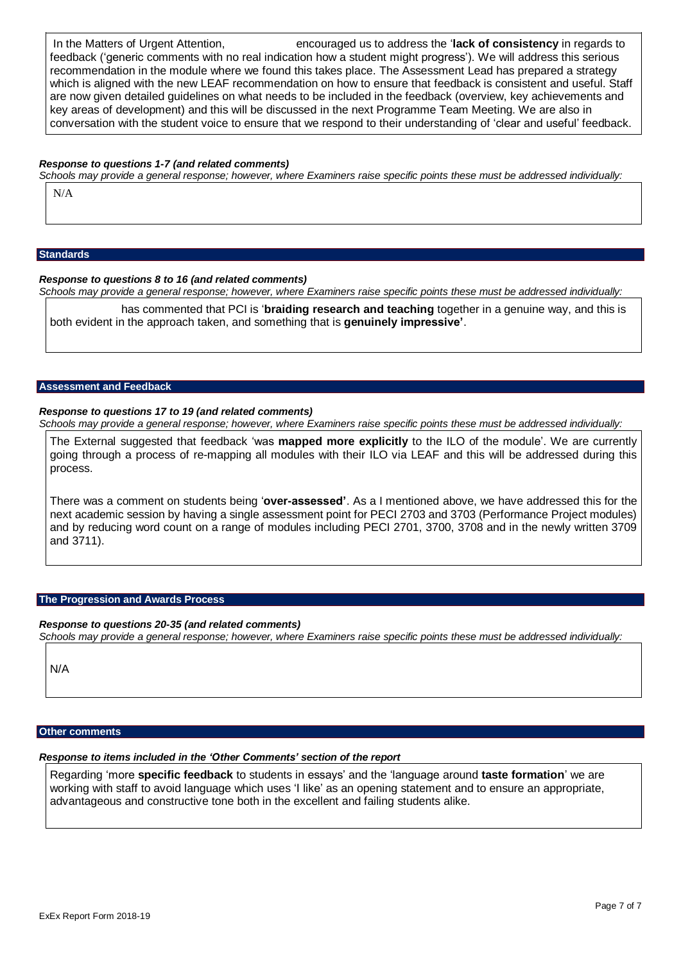In the Matters of Urgent Attention, encouraged us to address the '**lack of consistency** in regards to feedback ('generic comments with no real indication how a student might progress'). We will address this serious recommendation in the module where we found this takes place. The Assessment Lead has prepared a strategy which is aligned with the new LEAF recommendation on how to ensure that feedback is consistent and useful. Staff are now given detailed guidelines on what needs to be included in the feedback (overview, key achievements and key areas of development) and this will be discussed in the next Programme Team Meeting. We are also in conversation with the student voice to ensure that we respond to their understanding of 'clear and useful' feedback.

#### *Response to questions 1-7 (and related comments)*

Schools may provide a general response; however, where Examiners raise specific points these must be addressed individually:

N/A

#### **Standards**

## *Response to questions 8 to 16 (and related comments)*

Schools may provide a general response; however, where Examiners raise specific points these must be addressed individually:

has commented that PCI is '**braiding research and teaching** together in a genuine way, and this is both evident in the approach taken, and something that is **genuinely impressive'**.

#### **Assessment and Feedback**

#### *Response to questions 17 to 19 (and related comments)*

Schools may provide a general response; however, where Examiners raise specific points these must be addressed individually:

The External suggested that feedback 'was **mapped more explicitly** to the ILO of the module'. We are currently going through a process of re-mapping all modules with their ILO via LEAF and this will be addressed during this process.

There was a comment on students being '**over-assessed'**. As a I mentioned above, we have addressed this for the next academic session by having a single assessment point for PECI 2703 and 3703 (Performance Project modules) and by reducing word count on a range of modules including PECI 2701, 3700, 3708 and in the newly written 3709 and 3711).

#### **The Progression and Awards Process**

#### *Response to questions 20-35 (and related comments)*

Schools may provide a general response; however, where Examiners raise specific points these must be addressed individually:

N/A

### **Other comments**

# *Response to items included in the 'Other Comments' section of the report*

Regarding 'more **specific feedback** to students in essays' and the 'language around **taste formation**' we are working with staff to avoid language which uses 'I like' as an opening statement and to ensure an appropriate, advantageous and constructive tone both in the excellent and failing students alike.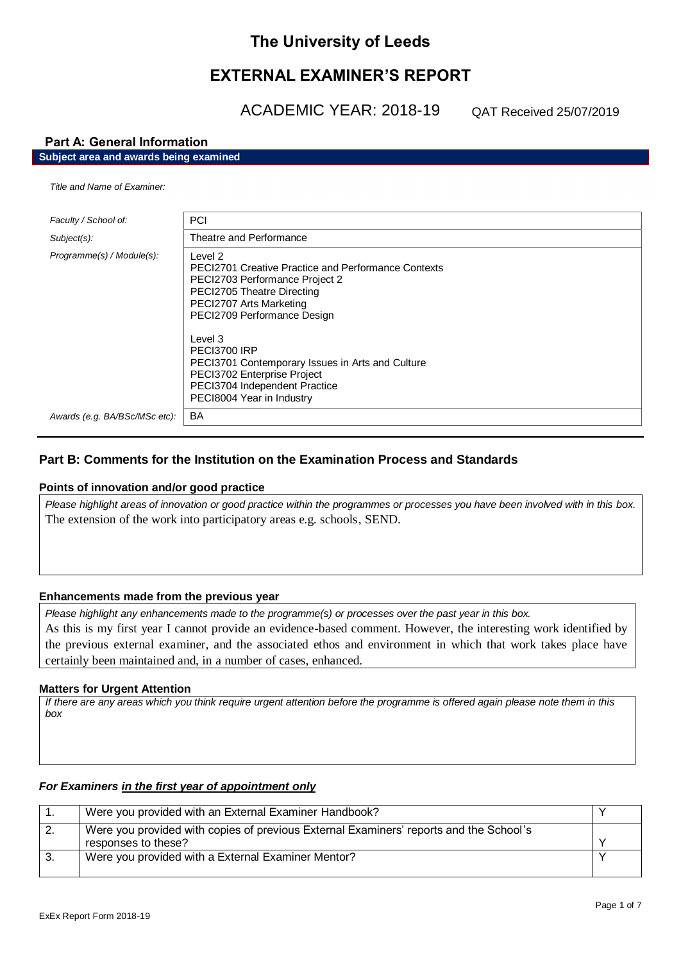# **The University of Leeds**

# **EXTERNAL EXAMINER'S REPORT**

ACADEMIC YEAR: 2018-19

QAT Received 25/07/2019

# **Part A: General Information**

**Subject area and awards being examined**

#### *Title and Name of Examiner:*

| Faculty / School of:          | <b>PCI</b>                                                                                                                                                                                                                                                                                                                                                                  |
|-------------------------------|-----------------------------------------------------------------------------------------------------------------------------------------------------------------------------------------------------------------------------------------------------------------------------------------------------------------------------------------------------------------------------|
| $Subject(s)$ :                | Theatre and Performance                                                                                                                                                                                                                                                                                                                                                     |
| Programme(s) / Module(s):     | Level 2<br><b>PECI2701 Creative Practice and Performance Contexts</b><br>PECI2703 Performance Project 2<br>PECI2705 Theatre Directing<br>PECI2707 Arts Marketing<br>PECI2709 Performance Design<br>Level 3<br>PECI3700 IRP<br>PECI3701 Contemporary Issues in Arts and Culture<br>PECI3702 Enterprise Project<br>PECI3704 Independent Practice<br>PECI8004 Year in Industry |
| Awards (e.g. BA/BSc/MSc etc): | BA                                                                                                                                                                                                                                                                                                                                                                          |

# **Part B: Comments for the Institution on the Examination Process and Standards**

## **Points of innovation and/or good practice**

*Please highlight areas of innovation or good practice within the programmes or processes you have been involved with in this box.* The extension of the work into participatory areas e.g. schools, SEND.

## **Enhancements made from the previous year**

*Please highlight any enhancements made to the programme(s) or processes over the past year in this box.* As this is my first year I cannot provide an evidence-based comment. However, the interesting work identified by the previous external examiner, and the associated ethos and environment in which that work takes place have certainly been maintained and, in a number of cases, enhanced.

## **Matters for Urgent Attention**

*If there are any areas which you think require urgent attention before the programme is offered again please note them in this box*

# *For Examiners in the first year of appointment only*

| Were you provided with an External Examiner Handbook?                                  |  |
|----------------------------------------------------------------------------------------|--|
| Were you provided with copies of previous External Examiners' reports and the School's |  |
| responses to these?                                                                    |  |
| Were you provided with a External Examiner Mentor?                                     |  |
|                                                                                        |  |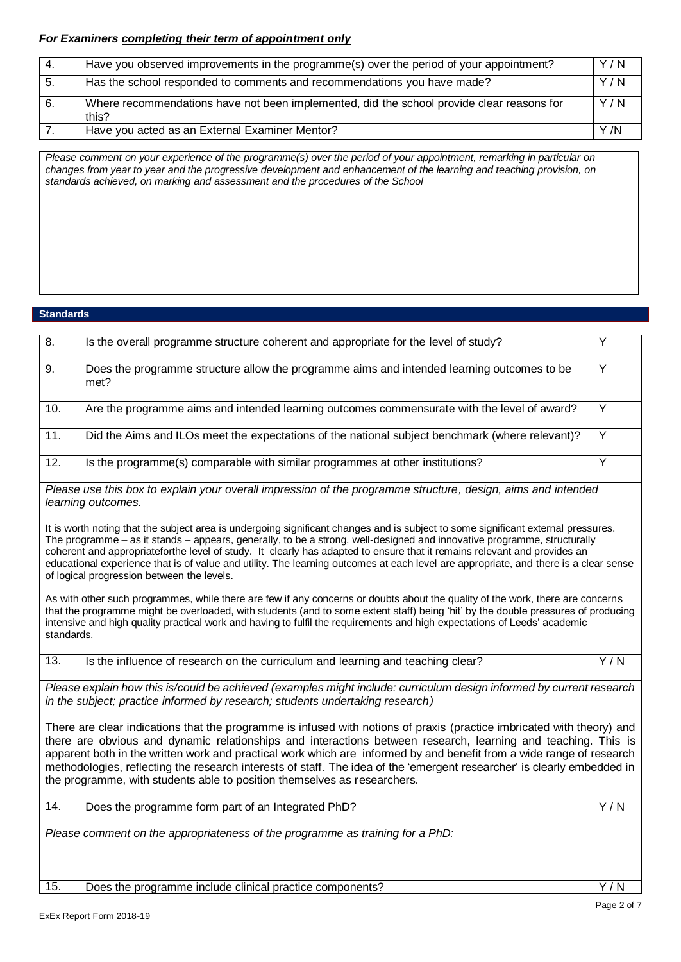# *For Examiners completing their term of appointment only*

| -4. | Have you observed improvements in the programme(s) over the period of your appointment?            | Y/N  |
|-----|----------------------------------------------------------------------------------------------------|------|
| 5.  | Has the school responded to comments and recommendations you have made?                            | Y/N  |
| 6.  | Where recommendations have not been implemented, did the school provide clear reasons for<br>this? | Y/N  |
|     | Have you acted as an External Examiner Mentor?                                                     | Y /N |

*Please comment on your experience of the programme(s) over the period of your appointment, remarking in particular on changes from year to year and the progressive development and enhancement of the learning and teaching provision, on standards achieved, on marking and assessment and the procedures of the School*

## **Standards**

| 8.                | Is the overall programme structure coherent and appropriate for the level of study?                                                                                                                                                                                                                                                                                                                                                                                                                                                                                                                                                                                                                                                                                                                                                                                                                                                                                                                                                                                                                                     | Y                |
|-------------------|-------------------------------------------------------------------------------------------------------------------------------------------------------------------------------------------------------------------------------------------------------------------------------------------------------------------------------------------------------------------------------------------------------------------------------------------------------------------------------------------------------------------------------------------------------------------------------------------------------------------------------------------------------------------------------------------------------------------------------------------------------------------------------------------------------------------------------------------------------------------------------------------------------------------------------------------------------------------------------------------------------------------------------------------------------------------------------------------------------------------------|------------------|
| 9.                | Does the programme structure allow the programme aims and intended learning outcomes to be<br>met?                                                                                                                                                                                                                                                                                                                                                                                                                                                                                                                                                                                                                                                                                                                                                                                                                                                                                                                                                                                                                      | Y                |
| 10.               | Are the programme aims and intended learning outcomes commensurate with the level of award?                                                                                                                                                                                                                                                                                                                                                                                                                                                                                                                                                                                                                                                                                                                                                                                                                                                                                                                                                                                                                             | Y                |
| 11.               | Did the Aims and ILOs meet the expectations of the national subject benchmark (where relevant)?                                                                                                                                                                                                                                                                                                                                                                                                                                                                                                                                                                                                                                                                                                                                                                                                                                                                                                                                                                                                                         | Y                |
| 12.               | Is the programme(s) comparable with similar programmes at other institutions?                                                                                                                                                                                                                                                                                                                                                                                                                                                                                                                                                                                                                                                                                                                                                                                                                                                                                                                                                                                                                                           | Y                |
| standards.        | Please use this box to explain your overall impression of the programme structure, design, aims and intended<br>learning outcomes.<br>It is worth noting that the subject area is undergoing significant changes and is subject to some significant external pressures.<br>The programme – as it stands – appears, generally, to be a strong, well-designed and innovative programme, structurally<br>coherent and appropriateforthe level of study. It clearly has adapted to ensure that it remains relevant and provides an<br>educational experience that is of value and utility. The learning outcomes at each level are appropriate, and there is a clear sense<br>of logical progression between the levels.<br>As with other such programmes, while there are few if any concerns or doubts about the quality of the work, there are concerns<br>that the programme might be overloaded, with students (and to some extent staff) being 'hit' by the double pressures of producing<br>intensive and high quality practical work and having to fulfil the requirements and high expectations of Leeds' academic |                  |
| $\overline{13}$ . | Is the influence of research on the curriculum and learning and teaching clear?                                                                                                                                                                                                                                                                                                                                                                                                                                                                                                                                                                                                                                                                                                                                                                                                                                                                                                                                                                                                                                         | Y/N              |
|                   | Please explain how this is/could be achieved (examples might include: curriculum design informed by current research<br>in the subject; practice informed by research; students undertaking research)<br>There are clear indications that the programme is infused with notions of praxis (practice imbricated with theory) and<br>there are obvious and dynamic relationships and interactions between research, learning and teaching. This is<br>apparent both in the written work and practical work which are informed by and benefit from a wide range of research<br>methodologies, reflecting the research interests of staff. The idea of the 'emergent researcher' is clearly embedded in<br>the programme, with students able to position themselves as researchers.                                                                                                                                                                                                                                                                                                                                         |                  |
| 14.               | Does the programme form part of an Integrated PhD?                                                                                                                                                                                                                                                                                                                                                                                                                                                                                                                                                                                                                                                                                                                                                                                                                                                                                                                                                                                                                                                                      | $\overline{Y/N}$ |
|                   | Please comment on the appropriateness of the programme as training for a PhD:                                                                                                                                                                                                                                                                                                                                                                                                                                                                                                                                                                                                                                                                                                                                                                                                                                                                                                                                                                                                                                           |                  |
| 15.               | Does the programme include clinical practice components?                                                                                                                                                                                                                                                                                                                                                                                                                                                                                                                                                                                                                                                                                                                                                                                                                                                                                                                                                                                                                                                                | Y/N              |
|                   |                                                                                                                                                                                                                                                                                                                                                                                                                                                                                                                                                                                                                                                                                                                                                                                                                                                                                                                                                                                                                                                                                                                         | Page 2 of 7      |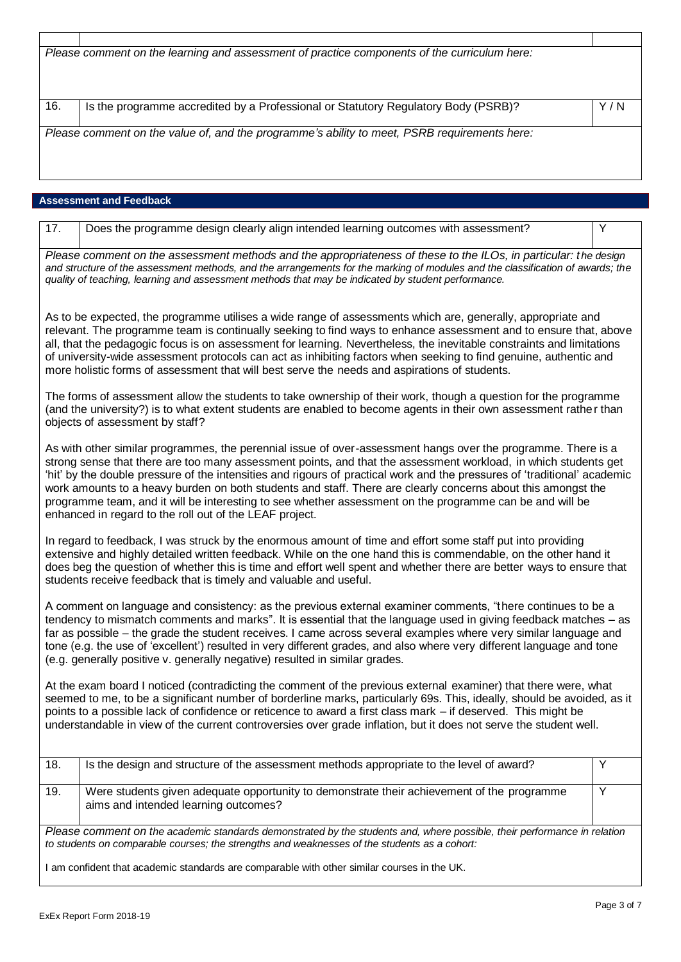| Please comment on the learning and assessment of practice components of the curriculum here: |                                                                                    |     |  |
|----------------------------------------------------------------------------------------------|------------------------------------------------------------------------------------|-----|--|
|                                                                                              |                                                                                    |     |  |
|                                                                                              |                                                                                    |     |  |
|                                                                                              |                                                                                    |     |  |
|                                                                                              |                                                                                    |     |  |
|                                                                                              |                                                                                    |     |  |
| 16.                                                                                          | Is the programme accredited by a Professional or Statutory Regulatory Body (PSRB)? | Y/N |  |
|                                                                                              |                                                                                    |     |  |
| Please comment on the value of, and the programme's ability to meet, PSRB requirements here: |                                                                                    |     |  |
|                                                                                              |                                                                                    |     |  |
|                                                                                              |                                                                                    |     |  |
|                                                                                              |                                                                                    |     |  |
|                                                                                              |                                                                                    |     |  |
|                                                                                              |                                                                                    |     |  |
|                                                                                              |                                                                                    |     |  |

# **Assessment and Feedback**

 $\overline{1}$ 

| $\overline{17}$ .                                                                                                                                                                                                                                                                                                                                                                                                                                                                                                                                                                                                                                    | Does the programme design clearly align intended learning outcomes with assessment?                                                | Y |  |  |
|------------------------------------------------------------------------------------------------------------------------------------------------------------------------------------------------------------------------------------------------------------------------------------------------------------------------------------------------------------------------------------------------------------------------------------------------------------------------------------------------------------------------------------------------------------------------------------------------------------------------------------------------------|------------------------------------------------------------------------------------------------------------------------------------|---|--|--|
| Please comment on the assessment methods and the appropriateness of these to the ILOs, in particular: the design<br>and structure of the assessment methods, and the arrangements for the marking of modules and the classification of awards; the<br>quality of teaching, learning and assessment methods that may be indicated by student performance.                                                                                                                                                                                                                                                                                             |                                                                                                                                    |   |  |  |
| As to be expected, the programme utilises a wide range of assessments which are, generally, appropriate and<br>relevant. The programme team is continually seeking to find ways to enhance assessment and to ensure that, above<br>all, that the pedagogic focus is on assessment for learning. Nevertheless, the inevitable constraints and limitations<br>of university-wide assessment protocols can act as inhibiting factors when seeking to find genuine, authentic and<br>more holistic forms of assessment that will best serve the needs and aspirations of students.                                                                       |                                                                                                                                    |   |  |  |
| The forms of assessment allow the students to take ownership of their work, though a question for the programme<br>(and the university?) is to what extent students are enabled to become agents in their own assessment rather than<br>objects of assessment by staff?                                                                                                                                                                                                                                                                                                                                                                              |                                                                                                                                    |   |  |  |
| As with other similar programmes, the perennial issue of over-assessment hangs over the programme. There is a<br>strong sense that there are too many assessment points, and that the assessment workload, in which students get<br>'hit' by the double pressure of the intensities and rigours of practical work and the pressures of 'traditional' academic<br>work amounts to a heavy burden on both students and staff. There are clearly concerns about this amongst the<br>programme team, and it will be interesting to see whether assessment on the programme can be and will be<br>enhanced in regard to the roll out of the LEAF project. |                                                                                                                                    |   |  |  |
| In regard to feedback, I was struck by the enormous amount of time and effort some staff put into providing<br>extensive and highly detailed written feedback. While on the one hand this is commendable, on the other hand it<br>does beg the question of whether this is time and effort well spent and whether there are better ways to ensure that<br>students receive feedback that is timely and valuable and useful.                                                                                                                                                                                                                          |                                                                                                                                    |   |  |  |
| A comment on language and consistency: as the previous external examiner comments, "there continues to be a<br>tendency to mismatch comments and marks". It is essential that the language used in giving feedback matches - as<br>far as possible – the grade the student receives. I came across several examples where very similar language and<br>tone (e.g. the use of 'excellent') resulted in very different grades, and also where very different language and tone<br>(e.g. generally positive v. generally negative) resulted in similar grades.                                                                                          |                                                                                                                                    |   |  |  |
| At the exam board I noticed (contradicting the comment of the previous external examiner) that there were, what<br>seemed to me, to be a significant number of borderline marks, particularly 69s. This, ideally, should be avoided, as it<br>points to a possible lack of confidence or reticence to award a first class mark – if deserved. This might be<br>understandable in view of the current controversies over grade inflation, but it does not serve the student well.                                                                                                                                                                     |                                                                                                                                    |   |  |  |
| 18.                                                                                                                                                                                                                                                                                                                                                                                                                                                                                                                                                                                                                                                  | Is the design and structure of the assessment methods appropriate to the level of award?                                           | Y |  |  |
| 19.                                                                                                                                                                                                                                                                                                                                                                                                                                                                                                                                                                                                                                                  | Were students given adequate opportunity to demonstrate their achievement of the programme<br>aims and intended learning outcomes? | Y |  |  |
| Please comment on the academic standards demonstrated by the students and, where possible, their performance in relation<br>to students on comparable courses; the strengths and weaknesses of the students as a cohort:                                                                                                                                                                                                                                                                                                                                                                                                                             |                                                                                                                                    |   |  |  |
| I am confident that academic standards are comparable with other similar courses in the UK.                                                                                                                                                                                                                                                                                                                                                                                                                                                                                                                                                          |                                                                                                                                    |   |  |  |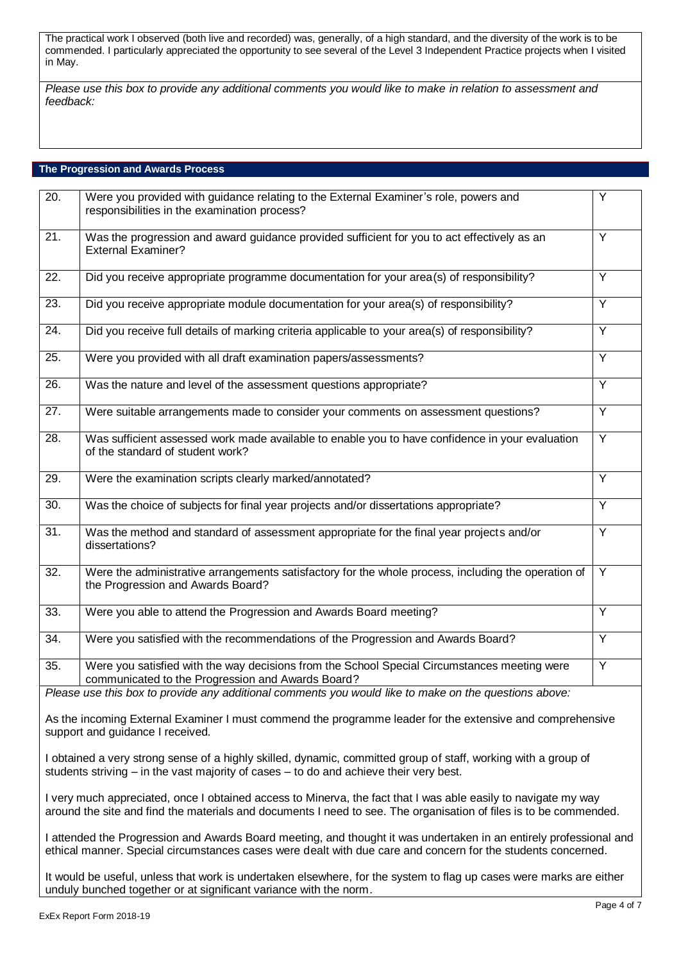The practical work I observed (both live and recorded) was, generally, of a high standard, and the diversity of the work is to be commended. I particularly appreciated the opportunity to see several of the Level 3 Independent Practice projects when I visited in May.

*Please use this box to provide any additional comments you would like to make in relation to assessment and feedback:*

## **The Progression and Awards Process**

| 20.               | Were you provided with guidance relating to the External Examiner's role, powers and<br>responsibilities in the examination process?              | Y              |
|-------------------|---------------------------------------------------------------------------------------------------------------------------------------------------|----------------|
| 21.               | Was the progression and award guidance provided sufficient for you to act effectively as an<br><b>External Examiner?</b>                          | $\overline{Y}$ |
| 22.               | Did you receive appropriate programme documentation for your area(s) of responsibility?                                                           | Y              |
| 23.               | Did you receive appropriate module documentation for your area(s) of responsibility?                                                              | Y              |
| $\overline{24}$ . | Did you receive full details of marking criteria applicable to your area(s) of responsibility?                                                    | $\overline{Y}$ |
| 25.               | Were you provided with all draft examination papers/assessments?                                                                                  | Y              |
| $\overline{26}$ . | Was the nature and level of the assessment questions appropriate?                                                                                 | $\overline{Y}$ |
| 27.               | Were suitable arrangements made to consider your comments on assessment questions?                                                                | $\overline{Y}$ |
| 28.               | Was sufficient assessed work made available to enable you to have confidence in your evaluation<br>of the standard of student work?               | Y              |
| 29.               | Were the examination scripts clearly marked/annotated?                                                                                            | $\overline{Y}$ |
| $\overline{30}$ . | Was the choice of subjects for final year projects and/or dissertations appropriate?                                                              | Y              |
| $\overline{31}$ . | Was the method and standard of assessment appropriate for the final year projects and/or<br>dissertations?                                        | Ÿ              |
| $\overline{32}$ . | Were the administrative arrangements satisfactory for the whole process, including the operation of<br>the Progression and Awards Board?          | Y              |
| $\overline{33}$ . | Were you able to attend the Progression and Awards Board meeting?                                                                                 | $\overline{Y}$ |
| 34.               | Were you satisfied with the recommendations of the Progression and Awards Board?                                                                  | Y              |
| 35.               | Were you satisfied with the way decisions from the School Special Circumstances meeting were<br>communicated to the Progression and Awards Board? | Y              |
|                   | Please use this box to provide any additional comments you would like to make on the questions above:                                             |                |
|                   | As the incoming External Examiner I must commend the programme leader for the extensive and comprehensive<br>support and quidance I received.     |                |

I obtained a very strong sense of a highly skilled, dynamic, committed group of staff, working with a group of students striving – in the vast majority of cases – to do and achieve their very best.

I very much appreciated, once I obtained access to Minerva, the fact that I was able easily to navigate my way around the site and find the materials and documents I need to see. The organisation of files is to be commended.

I attended the Progression and Awards Board meeting, and thought it was undertaken in an entirely professional and ethical manner. Special circumstances cases were dealt with due care and concern for the students concerned.

It would be useful, unless that work is undertaken elsewhere, for the system to flag up cases were marks are either unduly bunched together or at significant variance with the norm.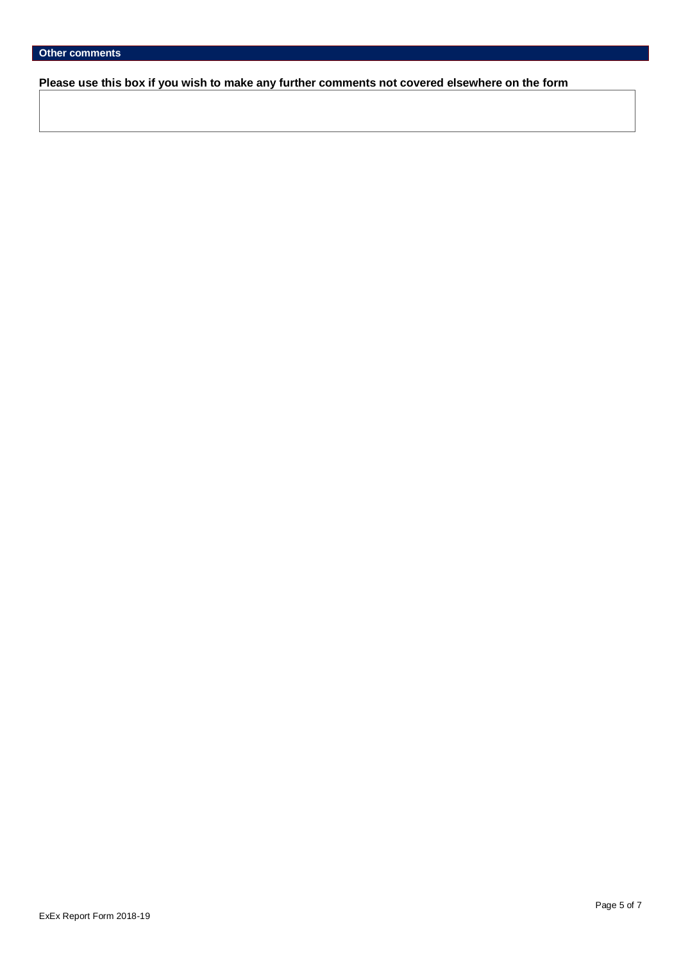**Please use this box if you wish to make any further comments not covered elsewhere on the form**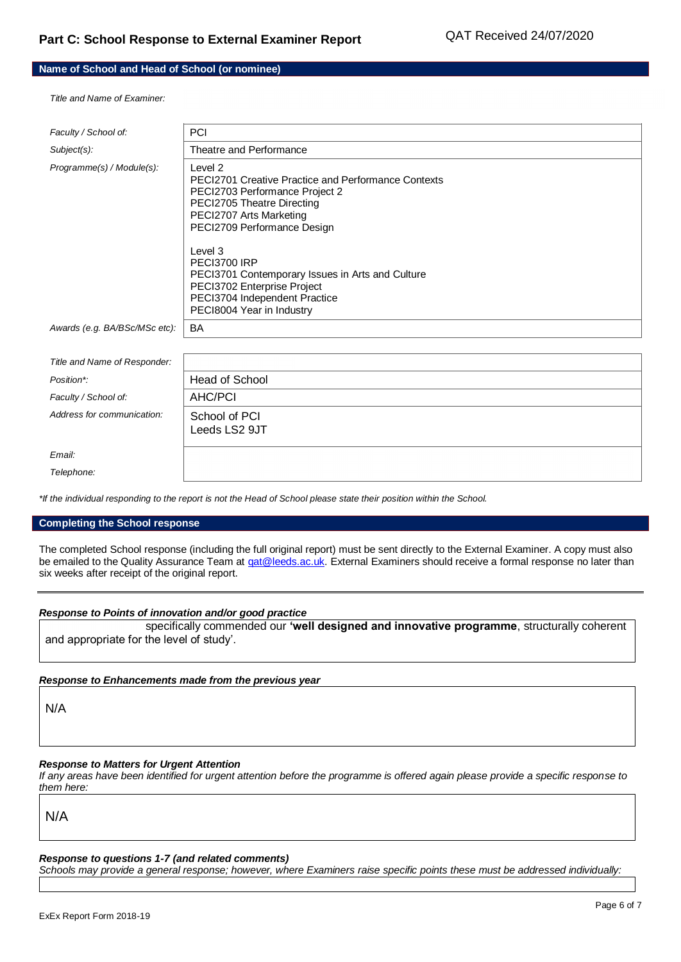## **Name of School and Head of School (or nominee)**

*Title and Name of Examiner:*

| Faculty / School of:          | <b>PCI</b>                                                                                                                                                                                      |
|-------------------------------|-------------------------------------------------------------------------------------------------------------------------------------------------------------------------------------------------|
| Subject(s):                   | Theatre and Performance                                                                                                                                                                         |
| Programme(s) / Module(s):     | Level 2<br><b>PECI2701 Creative Practice and Performance Contexts</b><br>PECI2703 Performance Project 2<br>PECI2705 Theatre Directing<br>PECI2707 Arts Marketing<br>PECI2709 Performance Design |
|                               | Level 3<br>PECI3700 IRP<br>PECI3701 Contemporary Issues in Arts and Culture<br>PECI3702 Enterprise Project<br>PECI3704 Independent Practice<br>PECI8004 Year in Industry                        |
| Awards (e.g. BA/BSc/MSc etc): | <b>BA</b>                                                                                                                                                                                       |
|                               |                                                                                                                                                                                                 |
| Title and Name of Responder:  |                                                                                                                                                                                                 |
| Position*:                    | Head of School                                                                                                                                                                                  |
| Faculty / School of:          | AHC/PCI                                                                                                                                                                                         |
| Address for communication:    | School of PCI<br>Leeds LS2 9JT                                                                                                                                                                  |
| Email:                        |                                                                                                                                                                                                 |
| Telephone:                    |                                                                                                                                                                                                 |

*\*If the individual responding to the report is not the Head of School please state their position within the School.*

#### **Completing the School response**

The completed School response (including the full original report) must be sent directly to the External Examiner. A copy must also be emailed to the Quality Assurance Team at *qat@leeds.ac.uk*. External Examiners should receive a formal response no later than six weeks after receipt of the original report.

#### *Response to Points of innovation and/or good practice*

specifically commended our **'well designed and innovative programme**, structurally coherent and appropriate for the level of study'.

#### *Response to Enhancements made from the previous year*

N/A

# *Response to Matters for Urgent Attention*

*If any areas have been identified for urgent attention before the programme is offered again please provide a specific response to them here:*

N/A

#### *Response to questions 1-7 (and related comments)*

*Schools may provide a general response; however, where Examiners raise specific points these must be addressed individually:*